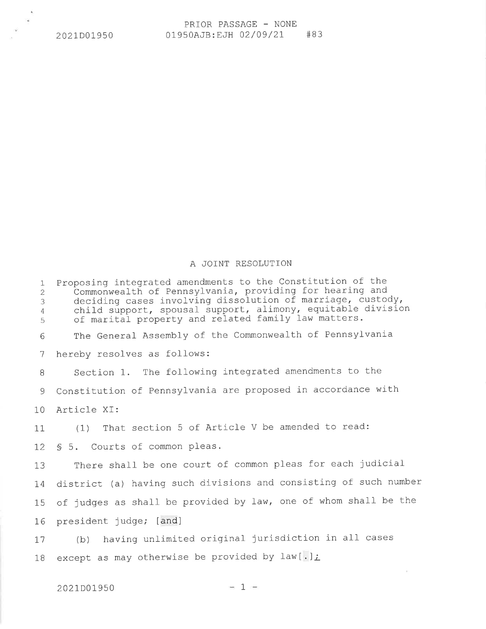## A JOINT RESOLUTTON

1 2 3 4 5 Proposing integrated amendments to the Constitution of the<br>- Commonwealth of Pennsylvania, providing for hearing and commonwearth of femisyrvania, providing for nearing and child support, spousal support, alimony, equitable division of marital property and related family law matters. The General Assembly of the Commonwealth of Pennsylvania hereby resolves as follows: Section 1. The following integrated amendments to the Constitution of Pennsylvania are proposed in accordance with Article XI: (1) That section 5 of Article V be amended to read: § 5. Courts of common pleas. There shall be one court of common pleas for each judicial district (a) having such divisions and consisting of such number of judges as shall be provided by law, one of whom shall be the president judge; [and] (b) having unlimited original jurisdiction in all cases except as may otherwise be provided by law[.]; 6 1 B 9 10 11 I2 1\_3 I4 15 I6 L7 1B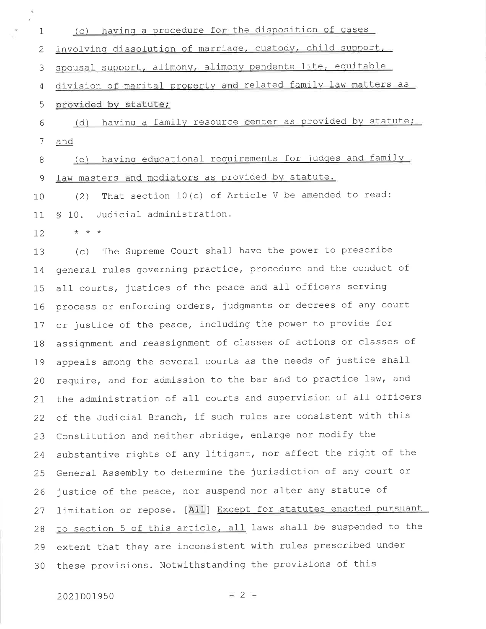(c) having a procedure for the disposition of cases  $\mathbf 1$ involving dissolution of marriage, custody, child support,  $\overline{2}$ spousal support, alimony, alimony pendente lite, equitable 3 division of marital property and related family law matters as 4 provided by statute; 5 (d) having a family resource center as provided by statute; 6 7 and (e) having educational requirements for judges and family 8 law masters and mediators as provided by statute. 9 (2) That section 10(c) of Article V be amended to read:  $10$ Judicial administration.  $$10.$  $11$ 

 $\star$   $\star$   $\star$  $12$ 

(c) The Supreme Court shall have the power to prescribe  $13$ general rules governing practice, procedure and the conduct of 14 all courts, justices of the peace and all officers serving 15 process or enforcing orders, judgments or decrees of any court 16 or justice of the peace, including the power to provide for  $17$ assignment and reassignment of classes of actions or classes of 18 appeals among the several courts as the needs of justice shall 19 require, and for admission to the bar and to practice law, and 20 the administration of all courts and supervision of all officers 21 of the Judicial Branch, if such rules are consistent with this 22 Constitution and neither abridge, enlarge nor modify the 23 substantive rights of any litigant, nor affect the right of the 24 General Assembly to determine the jurisdiction of any court or 25 justice of the peace, nor suspend nor alter any statute of 26 limitation or repose. [All] Except for statutes enacted pursuant 27 to section 5 of this article, all laws shall be suspended to the 28 extent that they are inconsistent with rules prescribed under 29 these provisions. Notwithstanding the provisions of this 30

## 2021D01950

 $-2 -$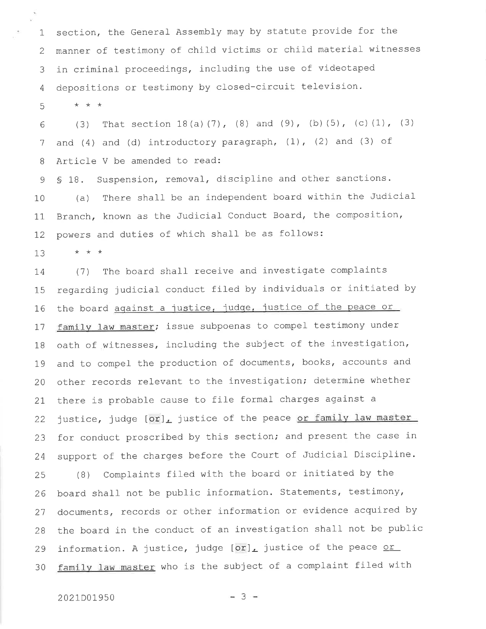1 section, the General- Assembly may by statute provide for the 2 manner of testimony of child victims or child material witnesses 3 in criminal proceedings, including the use of videotaped 4 depositions or testimony by closed-circuit television. 5 \*\*\*

6 1 B (3) That section  $18(a)(7)$ ,  $(8)$  and  $(9)$ ,  $(b)(5)$ ,  $(c)(1)$ ,  $(3)$ and  $(4)$  and  $(d)$  introductory paragraph,  $(1)$ ,  $(2)$  and  $(3)$  of Article V be amended to read:

9 10 11 L2 S 18. Suspension, removal, discipline and other sanctions. (a) There shall be an independent board within the Judicial Branch, known as the Judicial Conduct Board, the composition, powers and duties of which shall be as follows:

 $\star$   $\star$   $\star$ 13

 $\mathbf{v}_i$ 

L4 15 L6 L1 1B L9 20 2I 22 23 24 25 26 21 2R (1) The board shall receive and investigate complaints regarding judicial conduct filed by individuals or initiated by the board against a justice, judge, justice of the peace or family law master; issue subpoenas to compel testimony under oath of witnesses, including the subject of the investigation, and to compel the production of documents, books, accounts and other records relevant to the investigation; determine whether there is probable cause to file formal charges against <sup>a</sup> justice, judge  $\lceil \text{or} \rceil$  justice of the peace or family law master for conduct proscribed by this section; and present the case in support of the charges before the Court of Judicial Discipline. (B) Complaints filed with the board or initiated by the board shall not be public information. Statements, testimony, documents, records or other information or evidence acquired by the board in the conduct of an investigation shall not be public

30 information. A justice, judge  $[or]_L$  justice of the peace or family law master who is the subject of a complaint filed with

## 2021D01950

29

$$
-3 -
$$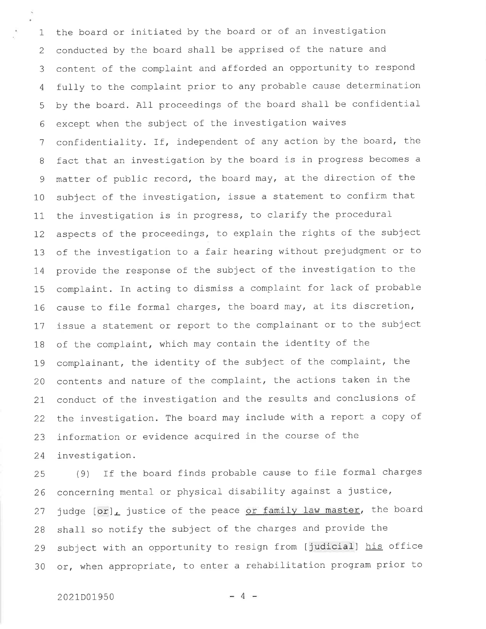1 2 3 4 5 6 1 B 9 10 11 L2 13 L4 15 L6 L7 1B 79  $20$ 2L 22 z5 24 the board or initiated by the board or of an investigation conducted by the board shall be apprised of the nature and content of the complaint and afforded an opportunity to respond fu11y to the complaint prior to any probable cause determination by the board. A11 proceedings of the board shall be confidential except when the subject of the investigation waives confidentiality. If, independent of any action by the board, the fact that an investigation by the board is in progress becomes <sup>a</sup> matter of public record, the board may, at the direction of the subject of the investigation, issue a statement to confirm that the investigation is in progress, to clarify the procedural aspects of the proceedings, to explain the rights of the subject of the investigation to a fair hearing without prejudgment or to provide the response of the subject of the investigation to the complaint. In acting to dismiss a complaint for lack of probable cause to file formal charges, the board may, at its discretion, issue a statement or report to the complainant or to the subject of the complaint, which may contain the identity of the complainant, the identity of the subject of the complaint, the contents and nature of the complaint, the actions taken in the conduct of the investigation and the results and conclusions of the investigation. The board may include with a report a copy of information or evidence acquired in the course of the investigation.

25 26 27 2B 29 30 (9) If the board finds probable cause to file formal charges concerning mental or physical disability against a justice, judge [or], justice of the peace or family law master, the board shall so notify the subject of the charges and provide the subject with an opportunity to resign from [judicial] his office or, when appropriate, to enter a rehabilitation program prior to

 $2021D01950$   $-4$   $-$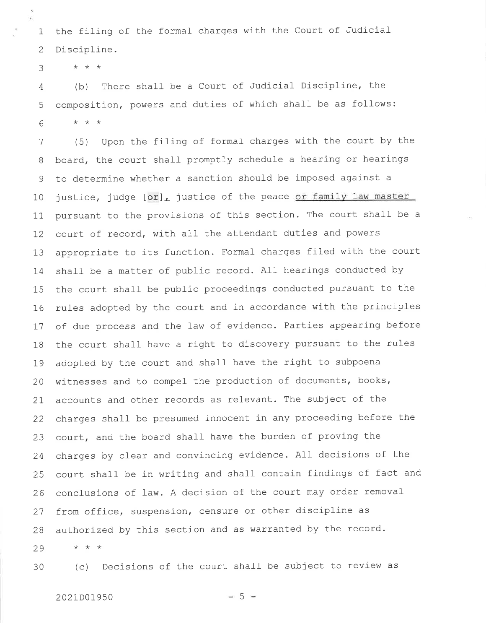$\mathbf{1}$ 2 the filing of the formal- charges with the Court of Judicial Discipline.

 $\star$   $\star$   $\star$ 3

4 (b) There shall be a Court of Judicial Discipline, the 5 composition, powers and duties of which shall be as follows:  $\star$   $\star$   $\star$ 6

 $*$  \* \* 1 B 9 10 11 L2 13 I4 15 16 T7 1B 79 20 2L 22 23 24 25 zo 21 2B 29 (5) Upon the filing of formal charges with the court by the board, the court shall promptly schedule a hearing or hearings to determine whether a sanction should be imposed against <sup>a</sup> justice, judge [or], justice of the peace or family law master pursuant to the provisions of this section. The court shall be a court of record, with all the attendant duties and powers appropriate to its function. FormaI charges filed with the court shall be a matter of public record. AlI hearings conducted by the court shall be public proceedings conducted pursuant to the rules adopted by the court and in accordance with the principles of due process and the law of evidence. Parties appearing before the court shall have a right to discovery pursuant to the rules adopted by the court and shall have the right to subpoena witnesses and to compel the production of documents, books, accounts and other records as relevant. The subject of the charges shall be presumed innocent in any proceeding before the court, and the board shalf have the burden of proving the charges by clear and convincing evidence. A11 decisions of the court shall be in writing and shall contain findings of fact and conclusions of law. A decision of the court may order removal from office, suspension, censure or other discipline as authorized by this section and as warranted by the record.

30

(c) Decisions of the court shall be subject to review as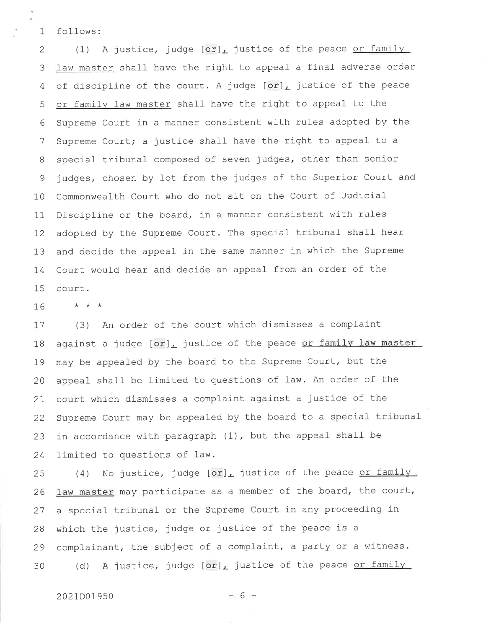1 follows:

2 (1) A justice, judge  $\lceil \text{or} \rceil_L$  justice of the peace <u>or family</u> 3 <u>law master</u> shall have the right to appeal a final adverse order 4 of discipline of the court. A judge  $[\texttt{or}]_{\textcolor{red}{\bm{L}}}$  justice of the peace or family law master shall have the right to appeal to the 5 6 1 B 9 10 11 I2 13 L4 15 Supreme Court in a manner consistent with rules adopted by the Supreme Court; a justice shall have the right to appeal to a special tribunal composed of seven judges, other than senior judges, chosen by lot from the judges of the Superior Court and Commonwealth Court who do not sit on the Court of Judicial Discipline or the board, in a manner consistent with rules adopted by the Supreme Court. The special tribunal shall hear and decide the appeal in the same manner in which the Supreme Court would hear and decide an appeal from an order of the court.

L6 \*\*\*

L1 1B I9 20 2L 22 z5 24 (3) An order of the court which dismisses a complaint against a judge  $[or]_L$  justice of the peace or family law master may be appealed by the board to the Supreme Court, but the appeal shall be limited to questions of law. An order of the court which dismisses a complaint against a justice of the Supreme Court may be appealed by the board to a special tribunal in accordance with paragraph  $(1)$ , but the appeal shall be limited to questions of 1aw.

(4) No justice, judge  $\texttt{[or]}_{\texttt{L}}$  justice of the peace <u>or family</u> 25 26 21 2B 29 30 law master may participate as a member of the board, the court, a special tribunal or the Supreme Court in any proceeding in which the justice, judge or justice of the peace is <sup>a</sup> complainant, the subject of a complaint, a party or a witness. (d) A justice, judge  $\texttt{[or]}$  justice of the peace <u>or family</u>

 $2021D01950$   $-6$   $-$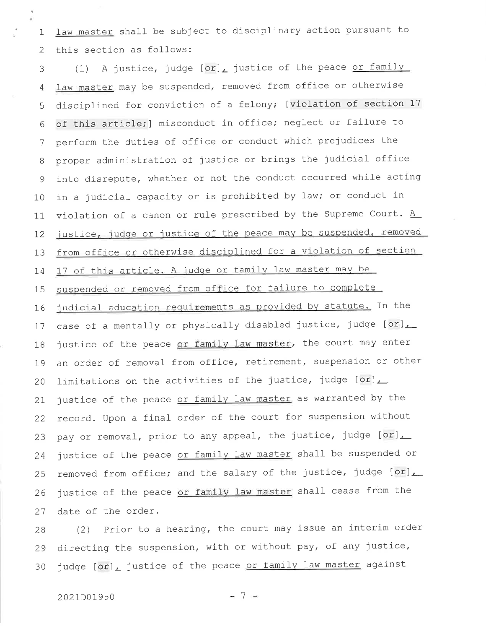law master shall be subject to disciplinary action pursuant to  $\mathbf{1}$ this section as follows:  $\overline{2}$ 

(1) A justice, judge  $[or]_L$  justice of the peace or family 3 law master may be suspended, removed from office or otherwise  $\overline{4}$ disciplined for conviction of a felony; [violation of section 17 5 of this article; ] misconduct in office; neglect or failure to 6 perform the duties of office or conduct which prejudices the 7 proper administration of justice or brings the judicial office 8 into disrepute, whether or not the conduct occurred while acting  $\mathsf 9$ in a judicial capacity or is prohibited by law; or conduct in  $10$ violation of a canon or rule prescribed by the Supreme Court.  $\underline{A}$  $11$ justice, judge or justice of the peace may be suspended, removed 12 from office or otherwise disciplined for a violation of section 13 17 of this article. A judge or family law master may be 14 suspended or removed from office for failure to complete 15 judicial education requirements as provided by statute. In the 16 case of a mentally or physically disabled justice, judge [or], 17 justice of the peace or family law master, the court may enter 18 an order of removal from office, retirement, suspension or other 19 limitations on the activities of the justice, judge [or], 20 justice of the peace or family law master as warranted by the 21 record. Upon a final order of the court for suspension without 22 pay or removal, prior to any appeal, the justice, judge [or], 23 justice of the peace or family law master shall be suspended or 24 removed from office; and the salary of the justice, judge [or], 25 justice of the peace or family law master shall cease from the 26 date of the order. 27

(2) Prior to a hearing, the court may issue an interim order 28 directing the suspension, with or without pay, of any justice, 29 judge [or], justice of the peace or family law master against 30

 $-7 -$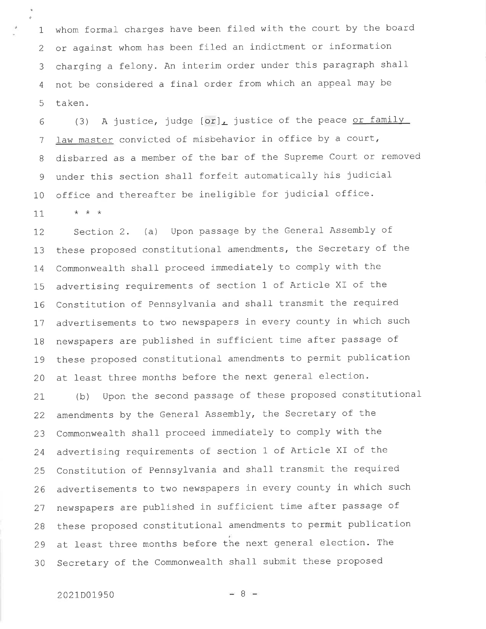$\mathbf{1}$ 2 3 4 5 whom formal charges have been filed with the court by the board or against whom has been filed an indictment or information charging a felony. An interim order under this paragraph shall not be considered a final order from which an appeal may be taken.

6 1 B 9 10 (3) A justice, judge  $\lceil \textup{or} \rceil_L$  justice of the peace <u>or famil</u>y law master convicted of misbehavior in office by a court, disbarred as a member of the bar of the SuPreme Court or removed under this section shall forfeit automatically his judicia office and thereafter be ineligible for judicial office.

11 \*\*\*

a

L2 13 1,4 15 I6 I1 18 L9 20 section 2. (a) upon passage by the General Assembly of these proposed constitutional amendments, the Secretary of the Commonwealth shall proceed immediately to comply with the advertising requirements of section 1 of Article XI of the Constitution of Pennsylvania and shall transmit the required advertisements to two newspapers in every county in which such newspapers are published in sufficient time after passage of these proposed constitutional amendments to permit publication at least three months before the next general election.

2L 22 23 24 25 26 21 2B 29 30 (b) Upon the second passage of these proposed constitutional amendments by the General Assembly, the Secretary of the Commonwealth shall proceed immediately to comply with the advertising requirements of section 1 of Article XI of the Constitution of Pennsylvania and shall- transmit the required advertisements to two newspapers in every county in which such newspapers are published in sufficient time after passage of these proposed constitutional amendments to permit publication at least three months before the next general election. The Secretary of the Commonwealth shall submit these proposed

 $-8 -$